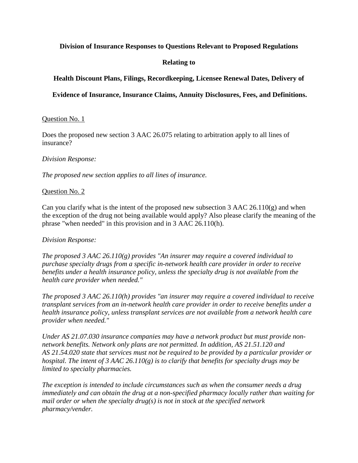### **Division of Insurance Responses to Questions Relevant to Proposed Regulations**

## **Relating to**

# **Health Discount Plans, Filings, Recordkeeping, Licensee Renewal Dates, Delivery of**

## **Evidence of Insurance, Insurance Claims, Annuity Disclosures, Fees, and Definitions.**

#### Question No. 1

Does the proposed new section 3 AAC 26.075 relating to arbitration apply to all lines of insurance?

#### *Division Response:*

*The proposed new section applies to all lines of insurance.*

#### Question No. 2

Can you clarify what is the intent of the proposed new subsection  $3$  AAC  $26.110(g)$  and when the exception of the drug not being available would apply? Also please clarify the meaning of the phrase "when needed" in this provision and in 3 AAC 26.110(h).

#### *Division Response:*

*The proposed 3 AAC 26.110(g) provides "An insurer may require a covered individual to purchase specialty drugs from a specific in-network health care provider in order to receive benefits under a health insurance policy, unless the specialty drug is not available from the health care provider when needed."*

*The proposed 3 AAC 26.110(h) provides "an insurer may require a covered individual to receive transplant services from an in-network health care provider in order to receive benefits under a health insurance policy, unless transplant services are not available from a network health care provider when needed."*

*Under AS 21.07.030 insurance companies may have a network product but must provide nonnetwork benefits. Network only plans are not permitted. In addition, AS 21.51.120 and AS 21.54.020 state that services must not be required to be provided by a particular provider or hospital. The intent of 3 AAC 26.110(g) is to clarify that benefits for specialty drugs may be limited to specialty pharmacies.* 

*The exception is intended to include circumstances such as when the consumer needs a drug immediately and can obtain the drug at a non-specified pharmacy locally rather than waiting for mail order or when the specialty drug(s) is not in stock at the specified network pharmacy/vender.*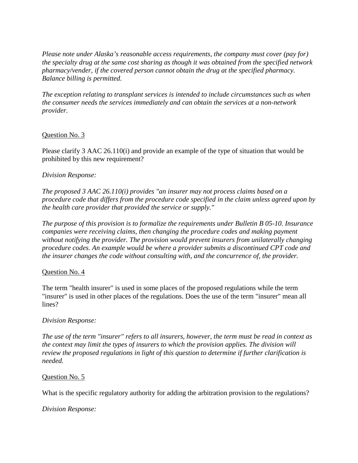*Please note under Alaska's reasonable access requirements, the company must cover (pay for) the specialty drug at the same cost sharing as though it was obtained from the specified network pharmacy/vender, if the covered person cannot obtain the drug at the specified pharmacy. Balance billing is permitted.* 

*The exception relating to transplant services is intended to include circumstances such as when the consumer needs the services immediately and can obtain the services at a non-network provider.*

### Question No. 3

Please clarify 3 AAC 26.110(i) and provide an example of the type of situation that would be prohibited by this new requirement?

### *Division Response:*

*The proposed 3 AAC 26.110(i) provides "an insurer may not process claims based on a procedure code that differs from the procedure code specified in the claim unless agreed upon by the health care provider that provided the service or supply."*

*The purpose of this provision is to formalize the requirements under Bulletin B 05-10. Insurance companies were receiving claims, then changing the procedure codes and making payment without notifying the provider. The provision would prevent insurers from unilaterally changing procedure codes. An example would be where a provider submits a discontinued CPT code and the insurer changes the code without consulting with, and the concurrence of, the provider.* 

#### Question No. 4

The term "health insurer" is used in some places of the proposed regulations while the term "insurer" is used in other places of the regulations. Does the use of the term "insurer" mean all lines?

#### *Division Response:*

*The use of the term "insurer" refers to all insurers, however, the term must be read in context as the context may limit the types of insurers to which the provision applies. The division will review the proposed regulations in light of this question to determine if further clarification is needed.*

#### Question No. 5

What is the specific regulatory authority for adding the arbitration provision to the regulations?

#### *Division Response:*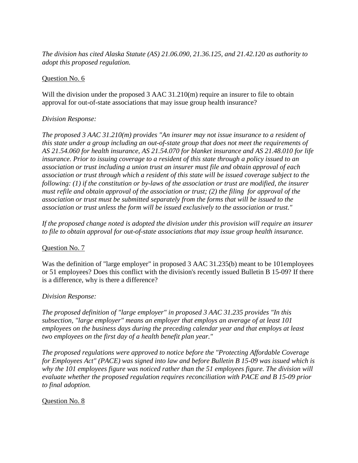*The division has cited Alaska Statute (AS) 21.06.090, 21.36.125, and 21.42.120 as authority to adopt this proposed regulation.* 

#### Question No. 6

Will the division under the proposed 3 AAC 31.210(m) require an insurer to file to obtain approval for out-of-state associations that may issue group health insurance?

### *Division Response:*

*The proposed 3 AAC 31.210(m) provides "An insurer may not issue insurance to a resident of this state under a group including an out-of-state group that does not meet the requirements of AS 21.54.060 for health insurance, AS 21.54.070 for blanket insurance and AS 21.48.010 for life insurance. Prior to issuing coverage to a resident of this state through a policy issued to an association or trust including a union trust an insurer must file and obtain approval of each association or trust through which a resident of this state will be issued coverage subject to the following: (1) if the constitution or by-laws of the association or trust are modified, the insurer must refile and obtain approval of the association or trust; (2) the filing for approval of the association or trust must be submitted separately from the forms that will be issued to the association or trust unless the form will be issued exclusively to the association or trust."*

*If the proposed change noted is adopted the division under this provision will require an insurer to file to obtain approval for out-of-state associations that may issue group health insurance.* 

## Question No. 7

Was the definition of "large employer" in proposed 3 AAC 31.235(b) meant to be 101employees or 51 employees? Does this conflict with the division's recently issued Bulletin B 15-09? If there is a difference, why is there a difference?

#### *Division Response:*

*The proposed definition of "large employer" in proposed 3 AAC 31.235 provides "In this subsection, "large employer" means an employer that employs an average of at least 101 employees on the business days during the preceding calendar year and that employs at least two employees on the first day of a health benefit plan year."*

*The proposed regulations were approved to notice before the "Protecting Affordable Coverage for Employees Act" (PACE) was signed into law and before Bulletin B 15-09 was issued which is why the 101 employees figure was noticed rather than the 51 employees figure. The division will evaluate whether the proposed regulation requires reconciliation with PACE and B 15-09 prior to final adoption.*

#### Question No. 8